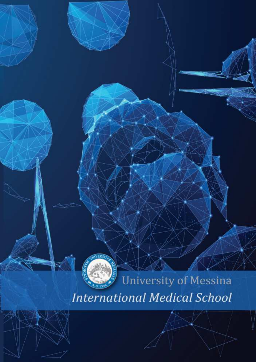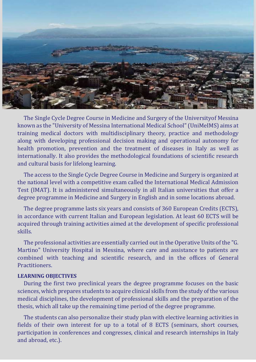

The Single Cycle Degree Course in Medicine and Surgery of the Universityof Messina known as the "University of Messina International Medical School" (UniMeIMS) aims at training medical doctors with multidisciplinary theory, practice and methodology along with developing professional decision making and operational autonomy for health promotion, prevention and the treatment of diseases in Italy as well as internationally. It also provides the methodological foundations of scientific research and cultural basis for lifelong learning.

The access to the Single Cycle Degree Course in Medicine and Surgery is organized at the national level with a competitive exam called the International Medical Admission Test (IMAT). It is administered simultaneously in all Italian universities that offer a degree programme in Medicine and Surgery in English and in some locations abroad.

The degree programme lasts six years and consists of 360 European Credits (ECTS), in accordance with current Italian and European legislation. At least 60 ECTS will be acquired through training activities aimed at the development of specific professional skills.

The professional activities are essentially carried out in the Operative Units of the "G. Martino" University Hospital in Messina, where care and assistance to patients are combined with teaching and scientific research, and in the offices of General Practitioners.

## **LEARNING OBJECTIVES**

During the first two preclinical years the degree programme focuses on the basic sciences, which prepares students to acquire clinical skills from the study of the various medical disciplines, the development of professional skills and the preparation of the thesis, which all take up the remaining time period of the degree programme.

The students can also personalize their study plan with elective learning activities in fields of their own interest for up to a total of 8 ECTS (seminars, short courses, participation in conferences and congresses, clinical and research internships in Italy and abroad, etc.).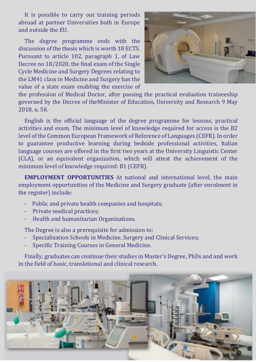It is possible to carry out training periods abroad at partner Universities both in Europe and outside the EU.

The degree programme ends with the discussion of the thesis which is worth 18 ECTS. Pursuant to article 102, paragraph 1, of Law Decree no 18/2020, the final exam of the Single Cycle Medicine and Surgery Degrees relating to the LM41 class in Medicine and Surgery has the value of a state exam enabling the exercise of



the profession of Medical Doctor, after passing the practical evaluation traineeship governed by the Decree of theMinister of Education, University and Research 9 May 2018, n. 58.

English is the official language of the degree programme for lessons, practical activities and exam. The minimum level of knowledge required for access is the B2 level of the Common European Framework of Reference of Languages (CEFR). In order to guarantee productive learning during bedside professional activities, Italian language courses are offered in the first two years at the University Linguistic Center (CLA), or an equivalent organization, which will attest the achievement of the minimum level of knowledge required: B1 (CEFR).

**EMPLOYMENT OPPORTUNITIES** At national and international level, the main employment opportunities of the Medicine and Surgery graduate (after enrolment in the register) include:

- Public and private health companies and hospitals;
- Private medical practices;
- Health and humanitarian Organizations.

The Degree is also a prerequisite for admission to:

- Specialization Schools in Medicine, Surgery and Clinical Services;
- Specific Training Courses in General Medicine.

Finally, graduates can continue their studies in Master's Degree, PhDs and and work in the field of basic, translational and clinical research.